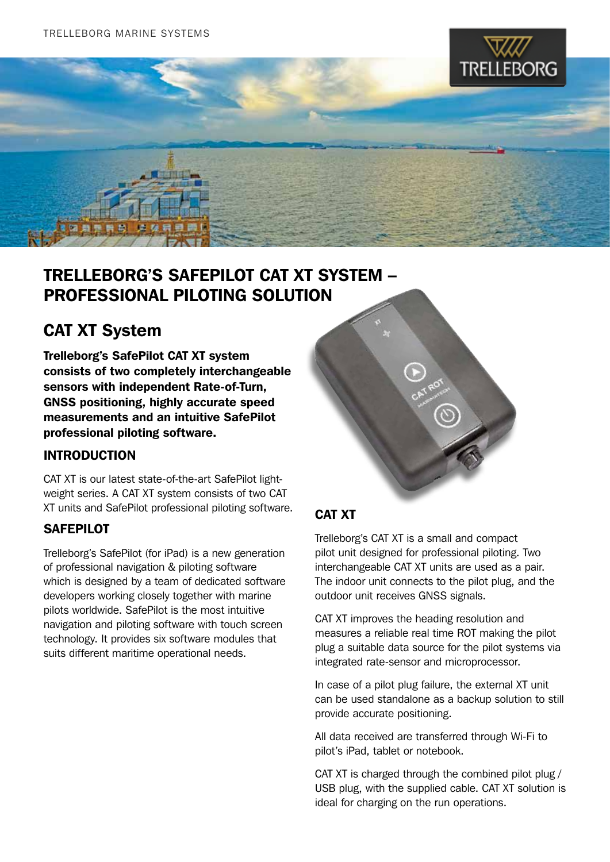



### TRELLEBORG'S SAFEPILOT CAT XT SYSTEM – Professional Piloting solution

## CAT XT System

Trelleborg's SafePilot CAT XT system consists of two completely interchangeable sensors with independent Rate-of-Turn, GNSS positioning, highly accurate speed measurements and an intuitive SafePilot professional piloting software.

#### INTRODUCTION

CAT XT is our latest state-of-the-art SafePilot lightweight series. A CAT XT system consists of two CAT XT units and SafePilot professional piloting software.

#### **SAFEPILOT**

Trelleborg's SafePilot (for iPad) is a new generation of professional navigation & piloting software which is designed by a team of dedicated software developers working closely together with marine pilots worldwide. SafePilot is the most intuitive navigation and piloting software with touch screen technology. It provides six software modules that suits different maritime operational needs.



### CAT XT

Trelleborg's CAT XT is a small and compact pilot unit designed for professional piloting. Two interchangeable CAT XT units are used as a pair. The indoor unit connects to the pilot plug, and the outdoor unit receives GNSS signals.

CAT XT improves the heading resolution and measures a reliable real time ROT making the pilot plug a suitable data source for the pilot systems via integrated rate-sensor and microprocessor.

In case of a pilot plug failure, the external XT unit can be used standalone as a backup solution to still provide accurate positioning.

All data received are transferred through Wi-Fi to pilot's iPad, tablet or notebook.

CAT XT is charged through the combined pilot plug / USB plug, with the supplied cable. CAT XT solution is ideal for charging on the run operations.